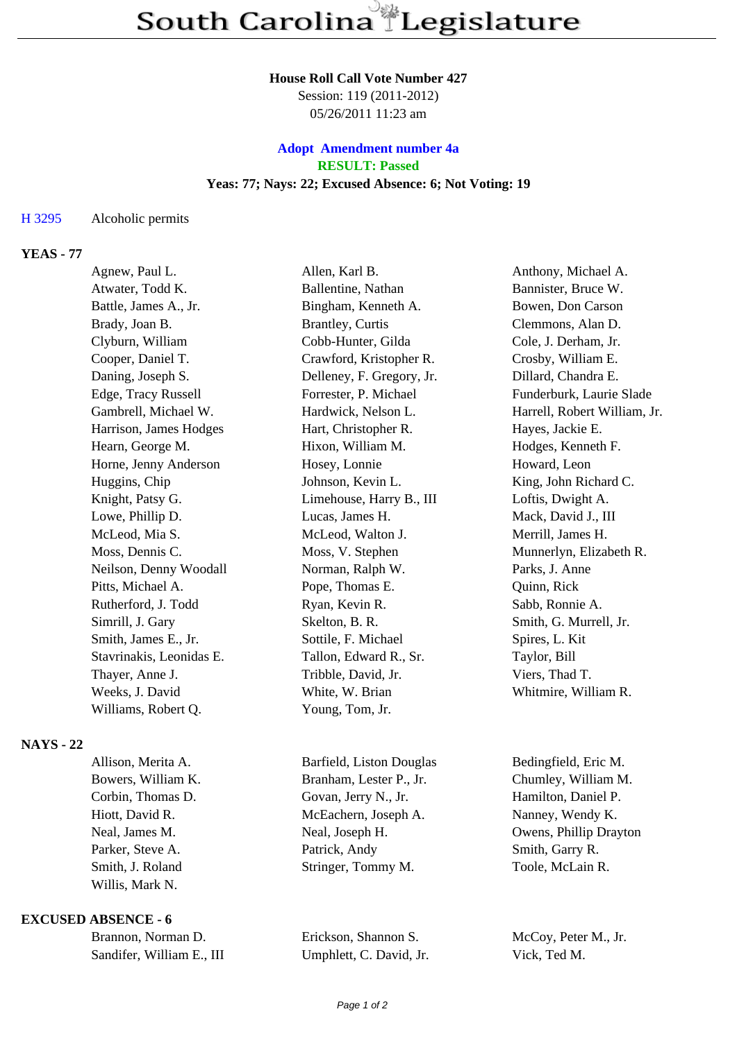#### **House Roll Call Vote Number 427**

Session: 119 (2011-2012) 05/26/2011 11:23 am

## **Adopt Amendment number 4a RESULT: Passed Yeas: 77; Nays: 22; Excused Absence: 6; Not Voting: 19**

#### H 3295 Alcoholic permits

## **YEAS - 77**

| Agnew, Paul L.           | Allen, Karl B.            | Anthony, Michael A.          |
|--------------------------|---------------------------|------------------------------|
| Atwater, Todd K.         | Ballentine, Nathan        | Bannister, Bruce W.          |
| Battle, James A., Jr.    | Bingham, Kenneth A.       | Bowen, Don Carson            |
| Brady, Joan B.           | <b>Brantley, Curtis</b>   | Clemmons, Alan D.            |
| Clyburn, William         | Cobb-Hunter, Gilda        | Cole, J. Derham, Jr.         |
| Cooper, Daniel T.        | Crawford, Kristopher R.   | Crosby, William E.           |
| Daning, Joseph S.        | Delleney, F. Gregory, Jr. | Dillard, Chandra E.          |
| Edge, Tracy Russell      | Forrester, P. Michael     | Funderburk, Laurie Slade     |
| Gambrell, Michael W.     | Hardwick, Nelson L.       | Harrell, Robert William, Jr. |
| Harrison, James Hodges   | Hart, Christopher R.      | Hayes, Jackie E.             |
| Hearn, George M.         | Hixon, William M.         | Hodges, Kenneth F.           |
| Horne, Jenny Anderson    | Hosey, Lonnie             | Howard, Leon                 |
| Huggins, Chip            | Johnson, Kevin L.         | King, John Richard C.        |
| Knight, Patsy G.         | Limehouse, Harry B., III  | Loftis, Dwight A.            |
| Lowe, Phillip D.         | Lucas, James H.           | Mack, David J., III          |
| McLeod, Mia S.           | McLeod, Walton J.         | Merrill, James H.            |
| Moss, Dennis C.          | Moss, V. Stephen          | Munnerlyn, Elizabeth R.      |
| Neilson, Denny Woodall   | Norman, Ralph W.          | Parks, J. Anne               |
| Pitts, Michael A.        | Pope, Thomas E.           | Quinn, Rick                  |
| Rutherford, J. Todd      | Ryan, Kevin R.            | Sabb, Ronnie A.              |
| Simrill, J. Gary         | Skelton, B. R.            | Smith, G. Murrell, Jr.       |
| Smith, James E., Jr.     | Sottile, F. Michael       | Spires, L. Kit               |
| Stavrinakis, Leonidas E. | Tallon, Edward R., Sr.    | Taylor, Bill                 |
| Thayer, Anne J.          | Tribble, David, Jr.       | Viers, Thad T.               |
| Weeks, J. David          | White, W. Brian           | Whitmire, William R.         |
| Williams, Robert Q.      | Young, Tom, Jr.           |                              |
|                          |                           |                              |

# **NAYS - 22**

| Allison, Merita A. | Barfield, Liston Douglas | Bedingfield, Eric M.   |
|--------------------|--------------------------|------------------------|
| Bowers, William K. | Branham, Lester P., Jr.  | Chumley, William M.    |
| Corbin, Thomas D.  | Govan, Jerry N., Jr.     | Hamilton, Daniel P.    |
| Hiott, David R.    | McEachern, Joseph A.     | Nanney, Wendy K.       |
| Neal, James M.     | Neal, Joseph H.          | Owens, Phillip Drayton |
| Parker, Steve A.   | Patrick, Andy            | Smith, Garry R.        |
| Smith, J. Roland   | Stringer, Tommy M.       | Toole, McLain R.       |
| Willis, Mark N.    |                          |                        |
|                    |                          |                        |

## **EXCUSED ABSENCE - 6**

| Brannon, Norman D.        |  |
|---------------------------|--|
| Sandifer, William E., III |  |

Brickson, Shannon S. McCoy, Peter M., Jr. Umphlett, C. David, Jr. Vick, Ted M.